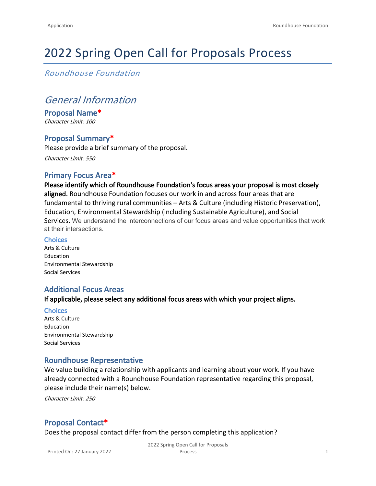# 2022 Spring Open Call for Proposals Process

*Roundhouse Foundation*

# *General Information*

**Proposal Name\*** *Character Limit: 100*

### **Proposal Summary\***

Please provide a brief summary of the proposal. *Character Limit: 550*

### **Primary Focus Area\***

**Please identify which of Roundhouse Foundation's focus areas your proposal is most closely aligned.** Roundhouse Foundation focuses our work in and across four areas that are fundamental to thriving rural communities – Arts & Culture (including Historic Preservation), Education, Environmental Stewardship (including Sustainable Agriculture), and Social Services. We understand the interconnections of our focus areas and value opportunities that work at their intersections.

#### **Choices**

Arts & Culture Education Environmental Stewardship Social Services

### **Additional Focus Areas**

**If applicable, please select any additional focus areas with which your project aligns.**

**Choices**

Arts & Culture Education Environmental Stewardship Social Services

### **Roundhouse Representative**

We value building a relationship with applicants and learning about your work. If you have already connected with a Roundhouse Foundation representative regarding this proposal, please include their name(s) below.

*Character Limit: 250*

### **Proposal Contact\***

Does the proposal contact differ from the person completing this application?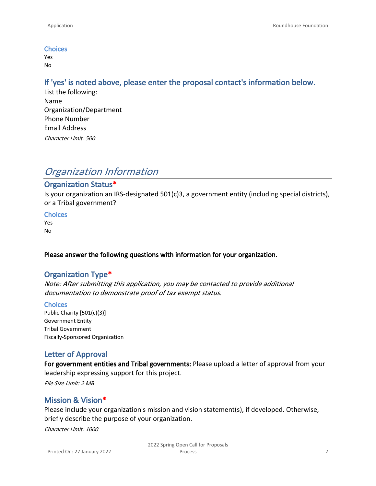#### **Choices**

Yes No

### **If 'yes' is noted above, please enter the proposal contact's information below.**

List the following: Name Organization/Department Phone Number Email Address *Character Limit: 500*

# *Organization Information*

#### **Organization Status\***

Is your organization an IRS-designated 501(c)3, a government entity (including special districts), or a Tribal government?

#### **Choices**

Yes No

#### **Please answer the following questions with information for your organization.**

#### **Organization Type\***

*Note: After submitting this application, you may be contacted to provide additional documentation to demonstrate proof of tax exempt status.*

#### **Choices**

Public Charity [501(c)(3)] Government Entity Tribal Government Fiscally-Sponsored Organization

### **Letter of Approval**

**For government entities and Tribal governments:** Please upload a letter of approval from your leadership expressing support for this project.

*File Size Limit: 2 MB*

### **Mission & Vision\***

Please include your organization's mission and vision statement(s), if developed. Otherwise, briefly describe the purpose of your organization.

*Character Limit: 1000*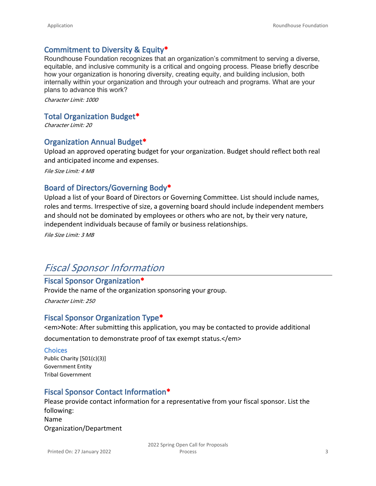### **Commitment to Diversity & Equity\***

Roundhouse Foundation recognizes that an organization's commitment to serving a diverse, equitable, and inclusive community is a critical and ongoing process. Please briefly describe how your organization is honoring diversity, creating equity, and building inclusion, both internally within your organization and through your outreach and programs. What are your plans to advance this work?

*Character Limit: 1000*

#### **Total Organization Budget\***

*Character Limit: 20*

#### **Organization Annual Budget\***

Upload an approved operating budget for your organization. Budget should reflect both real and anticipated income and expenses.

*File Size Limit: 4 MB*

### **Board of Directors/Governing Body\***

Upload a list of your Board of Directors or Governing Committee. List should include names, roles and terms. Irrespective of size, a governing board should include independent members and should not be dominated by employees or others who are not, by their very nature, independent individuals because of family or business relationships.

*File Size Limit: 3 MB*

## *Fiscal Sponsor Information*

#### **Fiscal Sponsor Organization\***

Provide the name of the organization sponsoring your group.

*Character Limit: 250*

### **Fiscal Sponsor Organization Type\***

<em>Note: After submitting this application, you may be contacted to provide additional

documentation to demonstrate proof of tax exempt status.</em>

#### **Choices**

Public Charity [501(c)(3)] Government Entity Tribal Government

### **Fiscal Sponsor Contact Information\***

Please provide contact information for a representative from your fiscal sponsor. List the following: Name

Organization/Department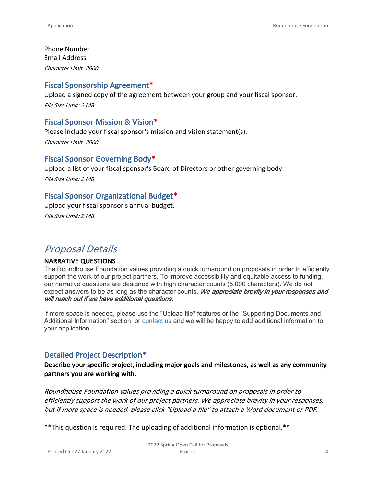Phone Number Email Address *Character Limit: 2000*

### **Fiscal Sponsorship Agreement\***

Upload a signed copy of the agreement between your group and your fiscal sponsor. *File Size Limit: 2 MB*

### **Fiscal Sponsor Mission & Vision\***

Please include your fiscal sponsor's mission and vision statement(s). *Character Limit: 2000*

### **Fiscal Sponsor Governing Body\***

Upload a list of your fiscal sponsor's Board of Directors or other governing body.

*File Size Limit: 2 MB*

### **Fiscal Sponsor Organizational Budget\***

Upload your fiscal sponsor's annual budget.

*File Size Limit: 2 MB*

# *Proposal Details*

#### **NARRATIVE QUESTIONS**

The Roundhouse Foundation values providing a quick turnaround on proposals in order to efficiently support the work of our project partners. To improve accessibility and equitable access to funding, our narrative questions are designed with high character counts (5,000 characters). We do not expect answers to be as long as the character counts. *We appreciate brevity in your responses and will reach out if we have additional questions.* 

If more space is needed, please use the "Upload file" features or the "Supporting Documents and Additional Information" section, or [contact us](mailto:grants@roundhousefoundation.org) and we will be happy to add additional information to your application.

### **Detailed Project Description\***

### **Describe your specific project, including major goals and milestones, as well as any community partners you are working with.**

*Roundhouse Foundation values providing a quick turnaround on proposals in order to efficiently support the work of our project partners. We appreciate brevity in your responses, but if more space is needed, please click "Upload a file" to attach a Word document or PDF.*

\*\*This question is required. The uploading of additional information is optional.\*\*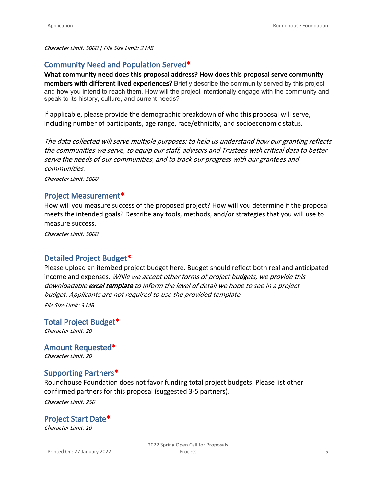*Character Limit: 5000 | File Size Limit: 2 MB*

### **Community Need and Population Served\***

**What community need does this proposal address? How does this proposal serve community members with different lived experiences?** Briefly describe the community served by this project and how you intend to reach them. How will the project intentionally engage with the community and speak to its history, culture, and current needs?

If applicable, please provide the demographic breakdown of who this proposal will serve, including number of participants, age range, race/ethnicity, and socioeconomic status.

*The data collected will serve multiple purposes: to help us understand how our granting reflects the communities we serve, to equip our staff, advisors and Trustees with critical data to better serve the needs of our communities, and to track our progress with our grantees and communities.*

*Character Limit: 5000*

#### **Project Measurement\***

How will you measure success of the proposed project? How will you determine if the proposal meets the intended goals? Describe any tools, methods, and/or strategies that you will use to measure success.

*Character Limit: 5000*

### **Detailed Project Budget\***

Please upload an itemized project budget here. Budget should reflect both real and anticipated income and expenses. *While we accept other forms of project budgets, we provide this downloadable [excel template](https://roundhousefoundation.org/wp-content/uploads/2022/01/BudgetTemplate2022.xlsx) to inform the level of detail we hope to see in a project budget*. *Applicants are not required to use the provided template.*

*File Size Limit: 3 MB*

**Total Project Budget\*** *Character Limit: 20*

**Amount Requested\*** *Character Limit: 20*

### **Supporting Partners\***

Roundhouse Foundation does not favor funding total project budgets. Please list other confirmed partners for this proposal (suggested 3-5 partners).

*Character Limit: 250*

### **Project Start Date\***

*Character Limit: 10*

Printed On: 27 January 2022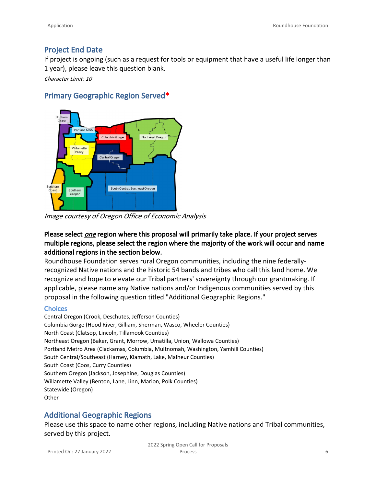### **Project End Date**

If project is ongoing (such as a request for tools or equipment that have a useful life longer than 1 year), please leave this question blank.

*Character Limit: 10*

### **Primary Geographic Region Served\***



*Image courtesy of Oregon Office of Economic Analysis*

### **Please select** *one* **region where this proposal will primarily take place. If your project serves multiple regions, please select the region where the majority of the work will occur and name additional regions in the section below.**

Roundhouse Foundation serves rural Oregon communities, including the nine federallyrecognized Native nations and the historic 54 bands and tribes who call this land home. We recognize and hope to elevate our Tribal partners' sovereignty through our grantmaking. If applicable, please name any Native nations and/or Indigenous communities served by this proposal in the following question titled "Additional Geographic Regions."

#### **Choices**

Central Oregon (Crook, Deschutes, Jefferson Counties) Columbia Gorge (Hood River, Gilliam, Sherman, Wasco, Wheeler Counties) North Coast (Clatsop, Lincoln, Tillamook Counties) Northeast Oregon (Baker, Grant, Morrow, Umatilla, Union, Wallowa Counties) Portland Metro Area (Clackamas, Columbia, Multnomah, Washington, Yamhill Counties) South Central/Southeast (Harney, Klamath, Lake, Malheur Counties) South Coast (Coos, Curry Counties) Southern Oregon (Jackson, Josephine, Douglas Counties) Willamette Valley (Benton, Lane, Linn, Marion, Polk Counties) Statewide (Oregon) **Other** 

### **Additional Geographic Regions**

Please use this space to name other regions, including Native nations and Tribal communities, served by this project.